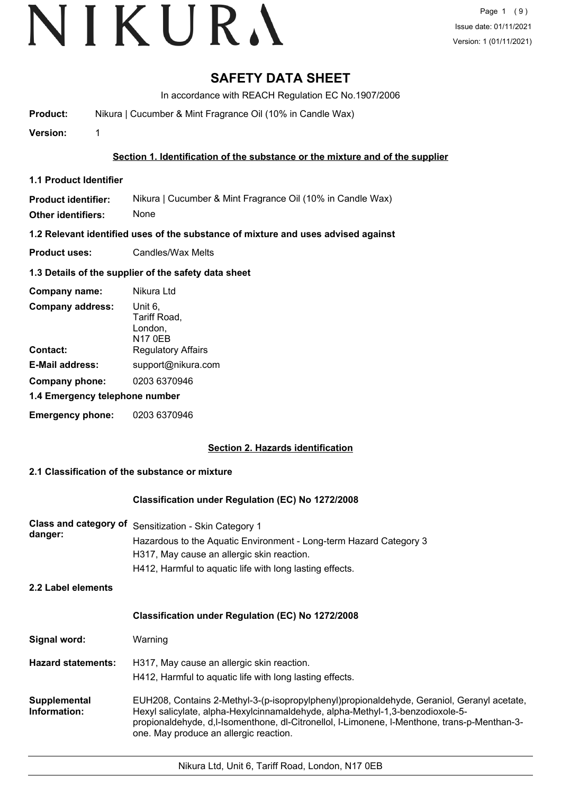# **SAFETY DATA SHEET**

In accordance with REACH Regulation EC No.1907/2006

**Product:** Nikura | Cucumber & Mint Fragrance Oil (10% in Candle Wax)

**Version:** 1

### **Section 1. Identification of the substance or the mixture and of the supplier**

**1.1 Product Identifier**

**Product identifier:** Nikura | Cucumber & Mint Fragrance Oil (10% in Candle Wax)

**Other identifiers:** None

**1.2 Relevant identified uses of the substance of mixture and uses advised against**

**Product uses:** Candles/Wax Melts

### **1.3 Details of the supplier of the safety data sheet**

| Company name:                  | Nikura Ltd                                    |  |
|--------------------------------|-----------------------------------------------|--|
| <b>Company address:</b>        | Unit 6,<br>Tariff Road,<br>London,<br>N17 0EB |  |
| Contact:                       | <b>Regulatory Affairs</b>                     |  |
| <b>E-Mail address:</b>         | support@nikura.com                            |  |
| Company phone:                 | 0203 6370946                                  |  |
| 1.4 Emergency telephone number |                                               |  |
| <b>Emergency phone:</b>        | 0203 6370946                                  |  |

## **Section 2. Hazards identification**

#### **2.1 Classification of the substance or mixture**

#### **Classification under Regulation (EC) No 1272/2008**

| Class and category of<br>danger:<br>2.2 Label elements | Sensitization - Skin Category 1<br>Hazardous to the Aquatic Environment - Long-term Hazard Category 3<br>H317, May cause an allergic skin reaction.<br>H412, Harmful to aquatic life with long lasting effects.                                                                                                       |
|--------------------------------------------------------|-----------------------------------------------------------------------------------------------------------------------------------------------------------------------------------------------------------------------------------------------------------------------------------------------------------------------|
|                                                        | <b>Classification under Regulation (EC) No 1272/2008</b>                                                                                                                                                                                                                                                              |
| Signal word:                                           | Warning                                                                                                                                                                                                                                                                                                               |
| <b>Hazard statements:</b>                              | H317, May cause an allergic skin reaction.<br>H412, Harmful to aquatic life with long lasting effects.                                                                                                                                                                                                                |
| Supplemental<br>Information:                           | EUH208, Contains 2-Methyl-3-(p-isopropylphenyl)propionaldehyde, Geraniol, Geranyl acetate,<br>Hexyl salicylate, alpha-Hexylcinnamaldehyde, alpha-Methyl-1,3-benzodioxole-5-<br>propionaldehyde, d,l-Isomenthone, dl-Citronellol, I-Limonene, I-Menthone, trans-p-Menthan-3-<br>one. May produce an allergic reaction. |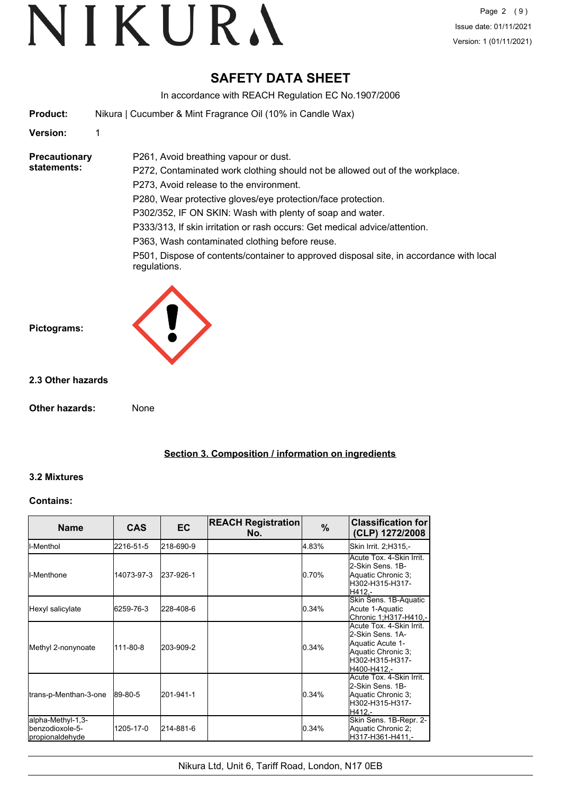# **SAFETY DATA SHEET**

In accordance with REACH Regulation EC No.1907/2006

**Product:** Nikura | Cucumber & Mint Fragrance Oil (10% in Candle Wax)

P261, Avoid breathing vapour or dust.

#### **Version:** 1

#### **Precautionary statements:**

P272, Contaminated work clothing should not be allowed out of the workplace. P273, Avoid release to the environment. P280, Wear protective gloves/eye protection/face protection. P302/352, IF ON SKIN: Wash with plenty of soap and water.

P333/313, If skin irritation or rash occurs: Get medical advice/attention.

P363, Wash contaminated clothing before reuse.

P501, Dispose of contents/container to approved disposal site, in accordance with local regulations.



### **2.3 Other hazards**

**Other hazards:** None

**Section 3. Composition / information on ingredients**

## **3.2 Mixtures**

#### **Contains:**

| <b>Name</b>                                             | <b>CAS</b> | <b>EC</b> | <b>REACH Registration</b><br>No. | $\%$  | <b>Classification for</b><br>(CLP) 1272/2008                                                                             |
|---------------------------------------------------------|------------|-----------|----------------------------------|-------|--------------------------------------------------------------------------------------------------------------------------|
| <b>I</b> I-Menthol                                      | 2216-51-5  | 218-690-9 |                                  | 4.83% | Skin Irrit. 2;H315,-                                                                                                     |
| <b>I</b> I-Menthone                                     | 14073-97-3 | 237-926-1 |                                  | 0.70% | Acute Tox. 4-Skin Irrit.<br>2-Skin Sens, 1B-<br>Aquatic Chronic 3;<br>lH302-H315-H317-<br>H412.-                         |
| Hexyl salicylate                                        | 6259-76-3  | 228-408-6 |                                  | 0.34% | Skin Sens. 1B-Aquatic<br>Acute 1-Aquatic<br>Chronic 1;H317-H410,-                                                        |
| Methyl 2-nonynoate                                      | 111-80-8   | 203-909-2 |                                  | 0.34% | Acute Tox. 4-Skin Irrit.<br>2-Skin Sens, 1A-<br>Aquatic Acute 1-<br>Aquatic Chronic 3;<br>H302-H315-H317-<br>H400-H412.- |
| trans-p-Menthan-3-one                                   | 89-80-5    | 201-941-1 |                                  | 0.34% | Acute Tox. 4-Skin Irrit.<br>2-Skin Sens, 1B-<br>Aquatic Chronic 3;<br>H302-H315-H317-<br>H412.-                          |
| alpha-Methyl-1,3-<br>benzodioxole-5-<br>propionaldehyde | 1205-17-0  | 214-881-6 |                                  | 0.34% | Skin Sens. 1B-Repr. 2-<br>Aquatic Chronic 2;<br>H317-H361-H411.-                                                         |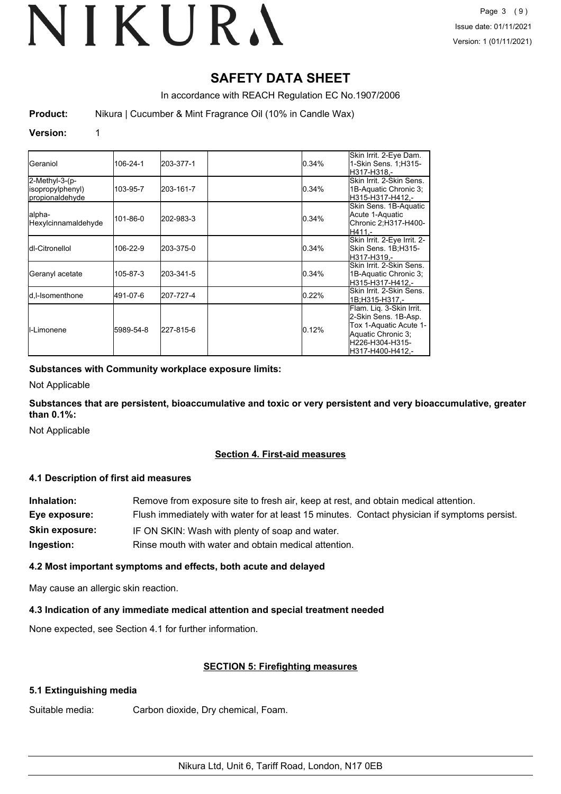# **SAFETY DATA SHEET**

In accordance with REACH Regulation EC No.1907/2006

**Product:** Nikura | Cucumber & Mint Fragrance Oil (10% in Candle Wax)

#### **Version:** 1

| IGeraniol                                             | 106-24-1  | 203-377-1 | 0.34%    | Skin Irrit. 2-Eye Dam.<br>1-Skin Sens. 1; H315-<br>H317-H318.-                                                                          |
|-------------------------------------------------------|-----------|-----------|----------|-----------------------------------------------------------------------------------------------------------------------------------------|
| 2-Methyl-3-(p-<br>(isopropylphenyl<br>propionaldehyde | 103-95-7  | 203-161-7 | 0.34%    | Skin Irrit, 2-Skin Sens.<br>1B-Aquatic Chronic 3;<br>H315-H317-H412.-                                                                   |
| lalpha-<br>Hexylcinnamaldehyde                        | 101-86-0  | 202-983-3 | 0.34%    | Skin Sens. 1B-Aquatic<br>Acute 1-Aquatic<br>Chronic 2; H317-H400-<br>H411.-                                                             |
| <b>Idl-Citronellol</b>                                | 106-22-9  | 203-375-0 | 0.34%    | Skin Irrit. 2-Eye Irrit. 2-<br>Skin Sens. 1B;H315-<br>H317-H319.-                                                                       |
| Geranyl acetate                                       | 105-87-3  | 203-341-5 | 0.34%    | Skin Irrit, 2-Skin Sens<br>1B-Aquatic Chronic 3;<br>H315-H317-H412.-                                                                    |
| <b>I</b> d.I-Isomenthone                              | 491-07-6  | 207-727-4 | $0.22\%$ | Skin Irrit, 2-Skin Sens.<br>1B:H315-H317.-                                                                                              |
| <b>I</b> I-Limonene                                   | 5989-54-8 | 227-815-6 | 0.12%    | Flam. Liq. 3-Skin Irrit.<br>2-Skin Sens. 1B-Asp.<br>Tox 1-Aquatic Acute 1-<br>Aquatic Chronic 3:<br>H226-H304-H315-<br>H317-H400-H412.- |

#### **Substances with Community workplace exposure limits:**

Not Applicable

**Substances that are persistent, bioaccumulative and toxic or very persistent and very bioaccumulative, greater than 0.1%:**

Not Applicable

#### **Section 4. First-aid measures**

#### **4.1 Description of first aid measures**

| Inhalation:           | Remove from exposure site to fresh air, keep at rest, and obtain medical attention.          |  |
|-----------------------|----------------------------------------------------------------------------------------------|--|
| Eye exposure:         | Flush immediately with water for at least 15 minutes. Contact physician if symptoms persist. |  |
| <b>Skin exposure:</b> | IF ON SKIN: Wash with plenty of soap and water.                                              |  |
| Ingestion:            | Rinse mouth with water and obtain medical attention.                                         |  |

#### **4.2 Most important symptoms and effects, both acute and delayed**

May cause an allergic skin reaction.

#### **4.3 Indication of any immediate medical attention and special treatment needed**

None expected, see Section 4.1 for further information.

#### **SECTION 5: Firefighting measures**

#### **5.1 Extinguishing media**

Suitable media: Carbon dioxide, Dry chemical, Foam.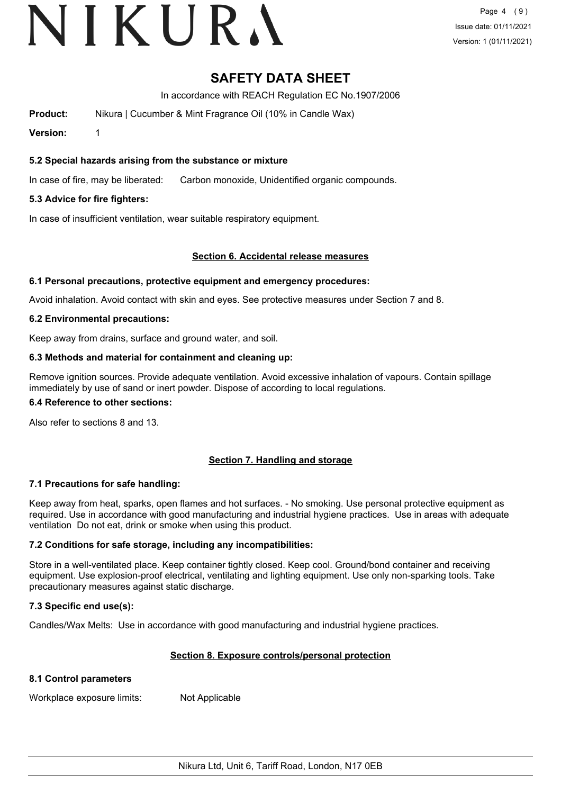# VIKURA

# **SAFETY DATA SHEET**

In accordance with REACH Regulation EC No.1907/2006

**Product:** Nikura | Cucumber & Mint Fragrance Oil (10% in Candle Wax)

**Version:** 1

### **5.2 Special hazards arising from the substance or mixture**

In case of fire, may be liberated: Carbon monoxide, Unidentified organic compounds.

### **5.3 Advice for fire fighters:**

In case of insufficient ventilation, wear suitable respiratory equipment.

#### **Section 6. Accidental release measures**

#### **6.1 Personal precautions, protective equipment and emergency procedures:**

Avoid inhalation. Avoid contact with skin and eyes. See protective measures under Section 7 and 8.

#### **6.2 Environmental precautions:**

Keep away from drains, surface and ground water, and soil.

#### **6.3 Methods and material for containment and cleaning up:**

Remove ignition sources. Provide adequate ventilation. Avoid excessive inhalation of vapours. Contain spillage immediately by use of sand or inert powder. Dispose of according to local regulations.

#### **6.4 Reference to other sections:**

Also refer to sections 8 and 13.

## **Section 7. Handling and storage**

#### **7.1 Precautions for safe handling:**

Keep away from heat, sparks, open flames and hot surfaces. - No smoking. Use personal protective equipment as required. Use in accordance with good manufacturing and industrial hygiene practices. Use in areas with adequate ventilation Do not eat, drink or smoke when using this product.

#### **7.2 Conditions for safe storage, including any incompatibilities:**

Store in a well-ventilated place. Keep container tightly closed. Keep cool. Ground/bond container and receiving equipment. Use explosion-proof electrical, ventilating and lighting equipment. Use only non-sparking tools. Take precautionary measures against static discharge.

#### **7.3 Specific end use(s):**

Candles/Wax Melts: Use in accordance with good manufacturing and industrial hygiene practices.

#### **Section 8. Exposure controls/personal protection**

#### **8.1 Control parameters**

Workplace exposure limits: Not Applicable

Nikura Ltd, Unit 6, Tariff Road, London, N17 0EB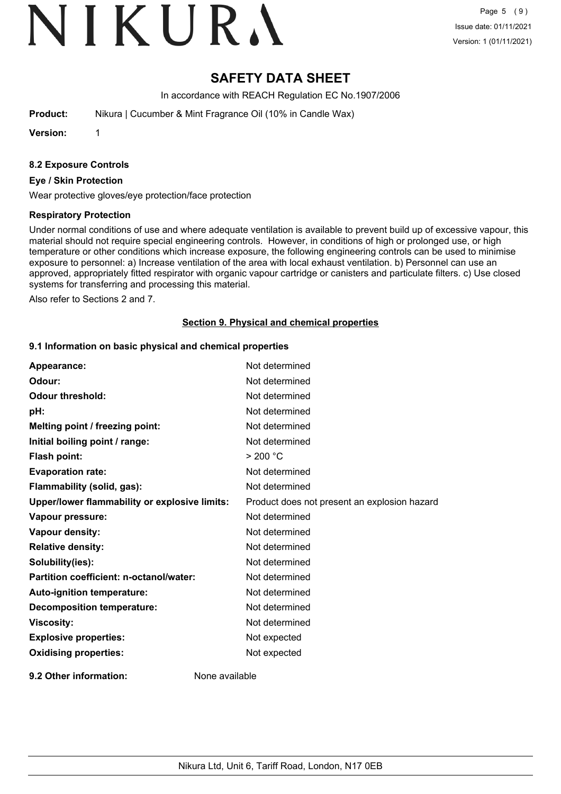# VIKURA

# **SAFETY DATA SHEET**

In accordance with REACH Regulation EC No.1907/2006

**Product:** Nikura | Cucumber & Mint Fragrance Oil (10% in Candle Wax)

**Version:** 1

#### **8.2 Exposure Controls**

#### **Eye / Skin Protection**

Wear protective gloves/eye protection/face protection

#### **Respiratory Protection**

Under normal conditions of use and where adequate ventilation is available to prevent build up of excessive vapour, this material should not require special engineering controls. However, in conditions of high or prolonged use, or high temperature or other conditions which increase exposure, the following engineering controls can be used to minimise exposure to personnel: a) Increase ventilation of the area with local exhaust ventilation. b) Personnel can use an approved, appropriately fitted respirator with organic vapour cartridge or canisters and particulate filters. c) Use closed systems for transferring and processing this material.

Also refer to Sections 2 and 7.

#### **Section 9. Physical and chemical properties**

#### **9.1 Information on basic physical and chemical properties**

| Appearance:                                   | Not determined                               |
|-----------------------------------------------|----------------------------------------------|
| Odour:                                        | Not determined                               |
| <b>Odour threshold:</b>                       | Not determined                               |
| pH:                                           | Not determined                               |
| Melting point / freezing point:               | Not determined                               |
| Initial boiling point / range:                | Not determined                               |
| Flash point:                                  | > 200 °C                                     |
| <b>Evaporation rate:</b>                      | Not determined                               |
| Flammability (solid, gas):                    | Not determined                               |
| Upper/lower flammability or explosive limits: | Product does not present an explosion hazard |
| Vapour pressure:                              | Not determined                               |
| Vapour density:                               | Not determined                               |
| <b>Relative density:</b>                      | Not determined                               |
| Solubility(ies):                              | Not determined                               |
| Partition coefficient: n-octanol/water:       | Not determined                               |
| Auto-ignition temperature:                    | Not determined                               |
| <b>Decomposition temperature:</b>             | Not determined                               |
| <b>Viscosity:</b>                             | Not determined                               |
| <b>Explosive properties:</b>                  | Not expected                                 |
| <b>Oxidising properties:</b>                  | Not expected                                 |
| 9.2 Other information:                        | None available                               |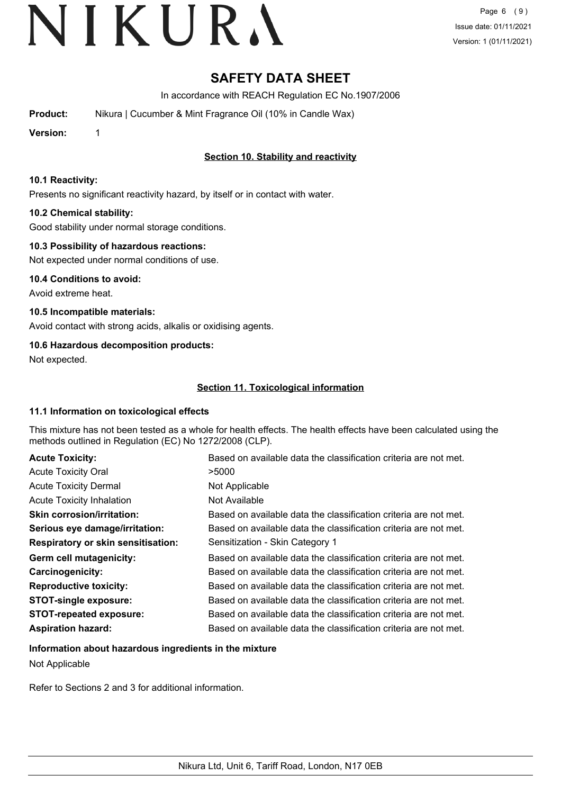# **SAFETY DATA SHEET**

In accordance with REACH Regulation EC No.1907/2006

**Product:** Nikura | Cucumber & Mint Fragrance Oil (10% in Candle Wax)

**Version:** 1

# **Section 10. Stability and reactivity**

#### **10.1 Reactivity:**

Presents no significant reactivity hazard, by itself or in contact with water.

### **10.2 Chemical stability:**

Good stability under normal storage conditions.

### **10.3 Possibility of hazardous reactions:**

Not expected under normal conditions of use.

**10.4 Conditions to avoid:** Avoid extreme heat.

**10.5 Incompatible materials:** Avoid contact with strong acids, alkalis or oxidising agents.

## **10.6 Hazardous decomposition products:**

Not expected.

## **Section 11. Toxicological information**

#### **11.1 Information on toxicological effects**

This mixture has not been tested as a whole for health effects. The health effects have been calculated using the methods outlined in Regulation (EC) No 1272/2008 (CLP).

| <b>Acute Toxicity:</b>                    | Based on available data the classification criteria are not met. |
|-------------------------------------------|------------------------------------------------------------------|
| <b>Acute Toxicity Oral</b>                | >5000                                                            |
| <b>Acute Toxicity Dermal</b>              | Not Applicable                                                   |
| <b>Acute Toxicity Inhalation</b>          | Not Available                                                    |
| <b>Skin corrosion/irritation:</b>         | Based on available data the classification criteria are not met. |
| Serious eye damage/irritation:            | Based on available data the classification criteria are not met. |
| <b>Respiratory or skin sensitisation:</b> | Sensitization - Skin Category 1                                  |
| Germ cell mutagenicity:                   | Based on available data the classification criteria are not met. |
| <b>Carcinogenicity:</b>                   | Based on available data the classification criteria are not met. |
| <b>Reproductive toxicity:</b>             | Based on available data the classification criteria are not met. |
| <b>STOT-single exposure:</b>              | Based on available data the classification criteria are not met. |
| <b>STOT-repeated exposure:</b>            | Based on available data the classification criteria are not met. |
| <b>Aspiration hazard:</b>                 | Based on available data the classification criteria are not met. |

#### **Information about hazardous ingredients in the mixture**

Not Applicable

Refer to Sections 2 and 3 for additional information.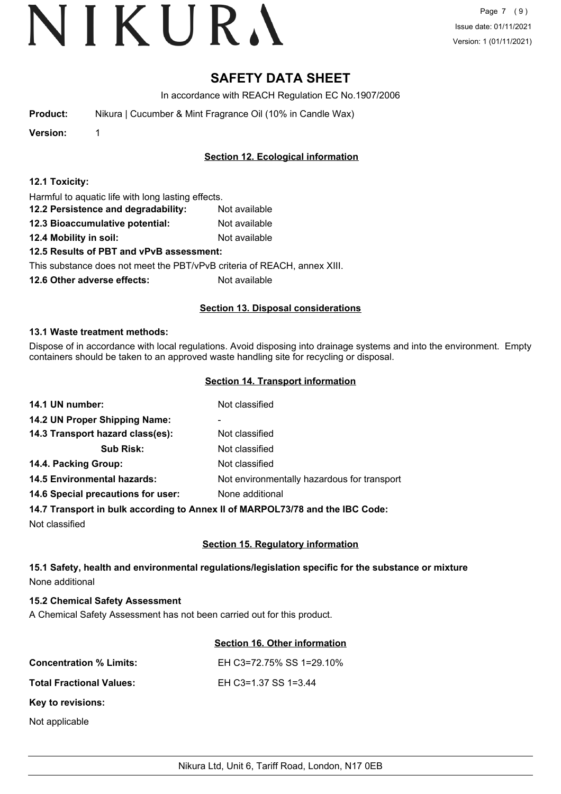# **SAFETY DATA SHEET**

In accordance with REACH Regulation EC No.1907/2006

| Nikura   Cucumber & Mint Fragrance Oil (10% in Candle Wax)<br><b>Product:</b> |  |
|-------------------------------------------------------------------------------|--|
|-------------------------------------------------------------------------------|--|

**Version:** 1

# **Section 12. Ecological information**

#### **12.1 Toxicity:**

| Harmful to aquatic life with long lasting effects. |  |
|----------------------------------------------------|--|
|----------------------------------------------------|--|

- **12.2 Persistence and degradability:** Not available
- **12.3 Bioaccumulative potential:** Not available
- **12.4 Mobility in soil:** Not available

## **12.5 Results of PBT and vPvB assessment:**

This substance does not meet the PBT/vPvB criteria of REACH, annex XIII.

**12.6 Other adverse effects:** Not available

### **Section 13. Disposal considerations**

#### **13.1 Waste treatment methods:**

Dispose of in accordance with local regulations. Avoid disposing into drainage systems and into the environment. Empty containers should be taken to an approved waste handling site for recycling or disposal.

#### **Section 14. Transport information**

| 14.1 UN number:                    | Not classified                                                                                                                                                                                                                                                                                                                                                                                                          |
|------------------------------------|-------------------------------------------------------------------------------------------------------------------------------------------------------------------------------------------------------------------------------------------------------------------------------------------------------------------------------------------------------------------------------------------------------------------------|
| 14.2 UN Proper Shipping Name:      | ۰                                                                                                                                                                                                                                                                                                                                                                                                                       |
| 14.3 Transport hazard class(es):   | Not classified                                                                                                                                                                                                                                                                                                                                                                                                          |
| <b>Sub Risk:</b>                   | Not classified                                                                                                                                                                                                                                                                                                                                                                                                          |
| 14.4. Packing Group:               | Not classified                                                                                                                                                                                                                                                                                                                                                                                                          |
| <b>14.5 Environmental hazards:</b> | Not environmentally hazardous for transport                                                                                                                                                                                                                                                                                                                                                                             |
| 14.6 Special precautions for user: | None additional                                                                                                                                                                                                                                                                                                                                                                                                         |
|                                    | $\mathbf{A} \mathbf{A} = \mathbf{A} \mathbf{A} \mathbf{A} \mathbf{A} \mathbf{A} \mathbf{A} \mathbf{A} \mathbf{A} \mathbf{A} \mathbf{A} \mathbf{A} \mathbf{A} \mathbf{A} \mathbf{A} \mathbf{A} \mathbf{A} \mathbf{A} \mathbf{A} \mathbf{A} \mathbf{A} \mathbf{A} \mathbf{A} \mathbf{A} \mathbf{A} \mathbf{A} \mathbf{A} \mathbf{A} \mathbf{A} \mathbf{A} \mathbf{A} \mathbf{A} \mathbf{A} \mathbf{A} \mathbf{A} \mathbf$ |

#### **14.7 Transport in bulk according to Annex II of MARPOL73/78 and the IBC Code:**

Not classified

## **Section 15. Regulatory information**

## **15.1 Safety, health and environmental regulations/legislation specific for the substance or mixture** None additional

## **15.2 Chemical Safety Assessment**

A Chemical Safety Assessment has not been carried out for this product.

## **Section 16. Other information**

| <b>Concentration % Limits:</b>  | EH C3=72.75% SS 1=29.10% |
|---------------------------------|--------------------------|
| <b>Total Fractional Values:</b> | EH C3=1.37 SS 1=3.44     |
| Key to revisions:               |                          |
| Not applicable                  |                          |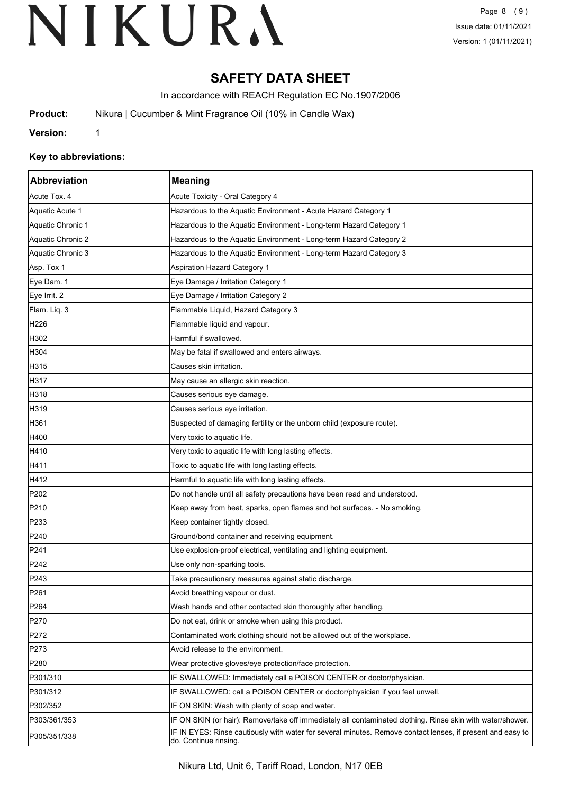# **SAFETY DATA SHEET**

In accordance with REACH Regulation EC No.1907/2006

**Product:** Nikura | Cucumber & Mint Fragrance Oil (10% in Candle Wax)

**Version:** 1

### **Key to abbreviations:**

| Abbreviation      | <b>Meaning</b>                                                                                                                      |
|-------------------|-------------------------------------------------------------------------------------------------------------------------------------|
| Acute Tox. 4      | Acute Toxicity - Oral Category 4                                                                                                    |
| Aquatic Acute 1   | Hazardous to the Aquatic Environment - Acute Hazard Category 1                                                                      |
| Aquatic Chronic 1 | Hazardous to the Aquatic Environment - Long-term Hazard Category 1                                                                  |
| Aquatic Chronic 2 | Hazardous to the Aquatic Environment - Long-term Hazard Category 2                                                                  |
| Aquatic Chronic 3 | Hazardous to the Aquatic Environment - Long-term Hazard Category 3                                                                  |
| Asp. Tox 1        | <b>Aspiration Hazard Category 1</b>                                                                                                 |
| Eye Dam. 1        | Eye Damage / Irritation Category 1                                                                                                  |
| Eye Irrit. 2      | Eye Damage / Irritation Category 2                                                                                                  |
| Flam. Liq. 3      | Flammable Liquid, Hazard Category 3                                                                                                 |
| H <sub>226</sub>  | Flammable liquid and vapour.                                                                                                        |
| H302              | Harmful if swallowed.                                                                                                               |
| H304              | May be fatal if swallowed and enters airways.                                                                                       |
| H315              | Causes skin irritation.                                                                                                             |
| H317              | May cause an allergic skin reaction.                                                                                                |
| H318              | Causes serious eye damage.                                                                                                          |
| H319              | Causes serious eye irritation.                                                                                                      |
| H361              | Suspected of damaging fertility or the unborn child (exposure route).                                                               |
| H400              | Very toxic to aquatic life.                                                                                                         |
| H410              | Very toxic to aquatic life with long lasting effects.                                                                               |
| H411              | Toxic to aquatic life with long lasting effects.                                                                                    |
| H412              | Harmful to aquatic life with long lasting effects.                                                                                  |
| P202              | Do not handle until all safety precautions have been read and understood.                                                           |
| P210              | Keep away from heat, sparks, open flames and hot surfaces. - No smoking.                                                            |
| P233              | Keep container tightly closed.                                                                                                      |
| P240              | Ground/bond container and receiving equipment.                                                                                      |
| P241              | Use explosion-proof electrical, ventilating and lighting equipment.                                                                 |
| P242              | Use only non-sparking tools.                                                                                                        |
| P243              | Take precautionary measures against static discharge.                                                                               |
| P <sub>261</sub>  | Avoid breathing vapour or dust.                                                                                                     |
| P <sub>264</sub>  | Wash hands and other contacted skin thoroughly after handling.                                                                      |
| P270              | Do not eat, drink or smoke when using this product.                                                                                 |
| P272              | Contaminated work clothing should not be allowed out of the workplace.                                                              |
| P273              | Avoid release to the environment.                                                                                                   |
| P280              | Wear protective gloves/eye protection/face protection.                                                                              |
| P301/310          | IF SWALLOWED: Immediately call a POISON CENTER or doctor/physician.                                                                 |
| P301/312          | IF SWALLOWED: call a POISON CENTER or doctor/physician if you feel unwell.                                                          |
| P302/352          | IF ON SKIN: Wash with plenty of soap and water.                                                                                     |
| P303/361/353      | IF ON SKIN (or hair): Remove/take off immediately all contaminated clothing. Rinse skin with water/shower.                          |
| P305/351/338      | IF IN EYES: Rinse cautiously with water for several minutes. Remove contact lenses, if present and easy to<br>do. Continue rinsing. |